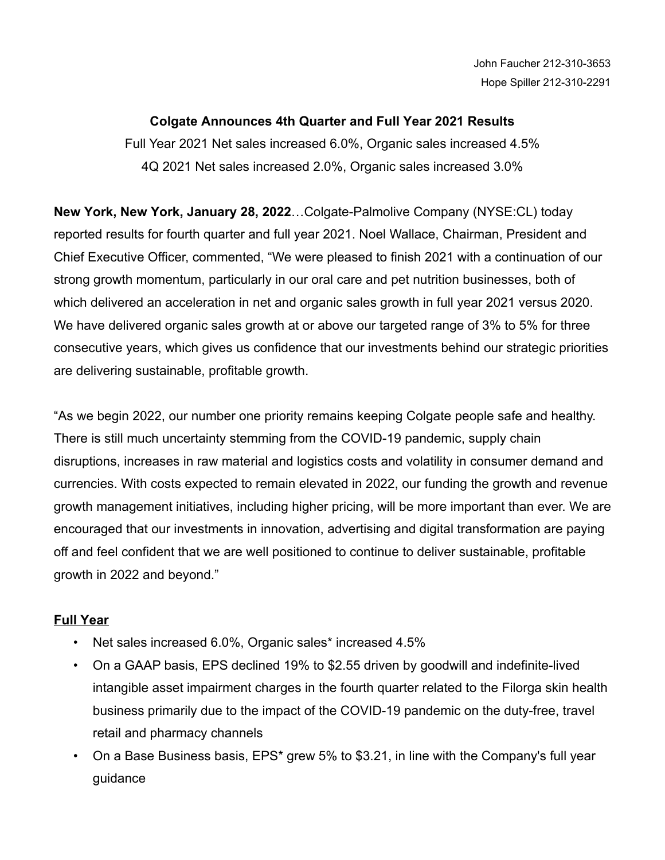# **Colgate Announces 4th Quarter and Full Year 2021 Results**

Full Year 2021 Net sales increased 6.0%, Organic sales increased 4.5% 4Q 2021 Net sales increased 2.0%, Organic sales increased 3.0%

**New York, New York, January 28, 2022**…Colgate-Palmolive Company (NYSE:CL) today reported results for fourth quarter and full year 2021. Noel Wallace, Chairman, President and Chief Executive Officer, commented, "We were pleased to finish 2021 with a continuation of our strong growth momentum, particularly in our oral care and pet nutrition businesses, both of which delivered an acceleration in net and organic sales growth in full year 2021 versus 2020. We have delivered organic sales growth at or above our targeted range of 3% to 5% for three consecutive years, which gives us confidence that our investments behind our strategic priorities are delivering sustainable, profitable growth.

"As we begin 2022, our number one priority remains keeping Colgate people safe and healthy. There is still much uncertainty stemming from the COVID-19 pandemic, supply chain disruptions, increases in raw material and logistics costs and volatility in consumer demand and currencies. With costs expected to remain elevated in 2022, our funding the growth and revenue growth management initiatives, including higher pricing, will be more important than ever. We are encouraged that our investments in innovation, advertising and digital transformation are paying off and feel confident that we are well positioned to continue to deliver sustainable, profitable growth in 2022 and beyond."

# **Full Year**

- Net sales increased 6.0%, Organic sales\* increased 4.5%
- On a GAAP basis, EPS declined 19% to \$2.55 driven by goodwill and indefinite-lived intangible asset impairment charges in the fourth quarter related to the Filorga skin health business primarily due to the impact of the COVID-19 pandemic on the duty-free, travel retail and pharmacy channels
- On a Base Business basis, EPS\* grew 5% to \$3.21, in line with the Company's full year guidance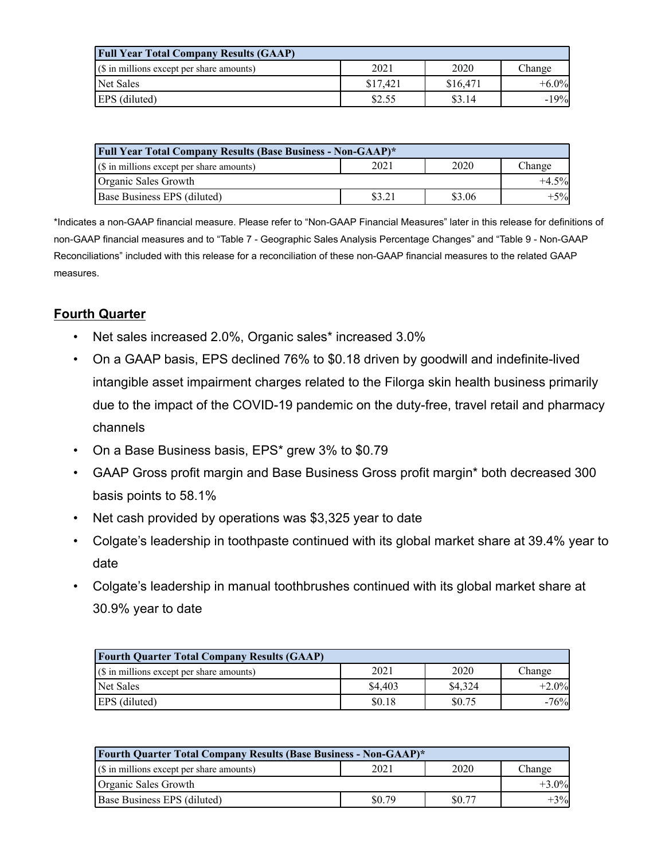| <b>Full Year Total Company Results (GAAP)</b>      |          |          |          |  |  |  |  |
|----------------------------------------------------|----------|----------|----------|--|--|--|--|
| $\sqrt{(s)}$ in millions except per share amounts) | 2021     | 2020     | Change   |  |  |  |  |
| Net Sales                                          | \$17.421 | \$16.471 | $+6.0\%$ |  |  |  |  |
| <b>EPS</b> (diluted)                               | \$2.55   | \$3.14   | $-19%$   |  |  |  |  |

| Full Year Total Company Results (Base Business - Non-GAAP)* |        |        |        |  |  |  |  |  |
|-------------------------------------------------------------|--------|--------|--------|--|--|--|--|--|
| $\frac{1}{s}$ (\$ in millions except per share amounts)     | 2021   | 2020   | Change |  |  |  |  |  |
| Organic Sales Growth                                        |        |        |        |  |  |  |  |  |
| <b>Base Business EPS (diluted)</b>                          | \$3.21 | \$3.06 | $+5%$  |  |  |  |  |  |

\*Indicates a non-GAAP financial measure. Please refer to "Non-GAAP Financial Measures" later in this release for definitions of non-GAAP financial measures and to "Table 7 - Geographic Sales Analysis Percentage Changes" and "Table 9 - Non-GAAP Reconciliations" included with this release for a reconciliation of these non-GAAP financial measures to the related GAAP measures.

# **Fourth Quarter**

- Net sales increased 2.0%, Organic sales\* increased 3.0%
- On a GAAP basis, EPS declined 76% to \$0.18 driven by goodwill and indefinite-lived intangible asset impairment charges related to the Filorga skin health business primarily due to the impact of the COVID-19 pandemic on the duty-free, travel retail and pharmacy channels
- On a Base Business basis, EPS\* grew 3% to \$0.79
- GAAP Gross profit margin and Base Business Gross profit margin\* both decreased 300 basis points to 58.1%
- Net cash provided by operations was \$3,325 year to date
- Colgate's leadership in toothpaste continued with its global market share at 39.4% year to date
- Colgate's leadership in manual toothbrushes continued with its global market share at 30.9% year to date

| <b>Fourth Quarter Total Company Results (GAAP)</b> |         |         |         |  |  |  |  |  |
|----------------------------------------------------|---------|---------|---------|--|--|--|--|--|
| $(\S$ in millions except per share amounts)        | 2021    | 2020    | Change  |  |  |  |  |  |
| <b>Net Sales</b>                                   | \$4.403 | \$4,324 | $+2.0%$ |  |  |  |  |  |
| <b>EPS</b> (diluted)                               | \$0.18  | \$0.75  | $-76%$  |  |  |  |  |  |

| <b>Fourth Quarter Total Company Results (Base Business - Non-GAAP)*</b> |        |        |        |  |  |  |  |  |
|-------------------------------------------------------------------------|--------|--------|--------|--|--|--|--|--|
| $(\S$ in millions except per share amounts)                             | 2021   | 2020   | Change |  |  |  |  |  |
| Organic Sales Growth                                                    |        |        |        |  |  |  |  |  |
| <b>Base Business EPS (diluted)</b>                                      | \$0.79 | \$0.77 | $+3%$  |  |  |  |  |  |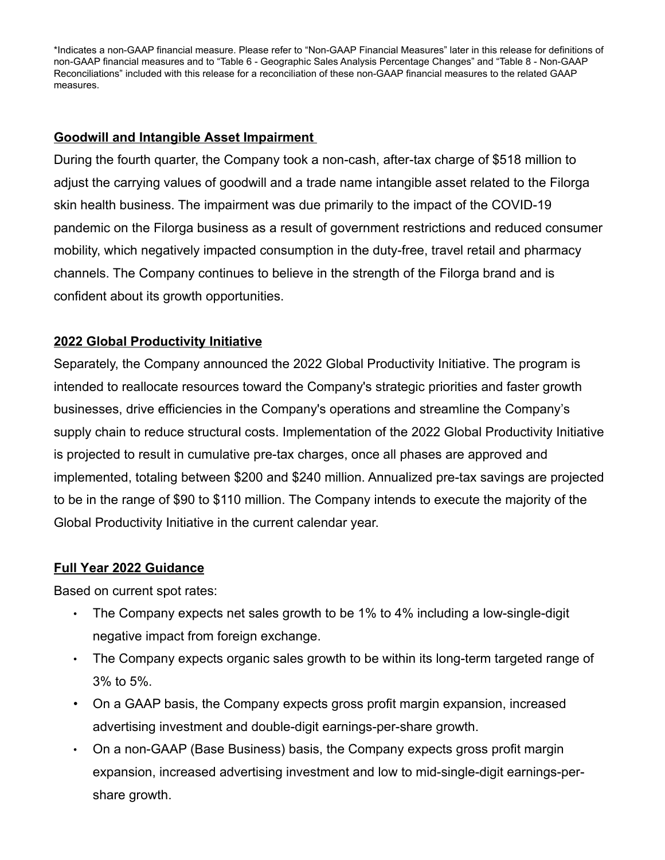\*Indicates a non-GAAP financial measure. Please refer to "Non-GAAP Financial Measures" later in this release for definitions of non-GAAP financial measures and to "Table 6 - Geographic Sales Analysis Percentage Changes" and "Table 8 - Non-GAAP Reconciliations" included with this release for a reconciliation of these non-GAAP financial measures to the related GAAP measures.

## **Goodwill and Intangible Asset Impairment**

During the fourth quarter, the Company took a non-cash, after-tax charge of \$518 million to adjust the carrying values of goodwill and a trade name intangible asset related to the Filorga skin health business. The impairment was due primarily to the impact of the COVID-19 pandemic on the Filorga business as a result of government restrictions and reduced consumer mobility, which negatively impacted consumption in the duty-free, travel retail and pharmacy channels. The Company continues to believe in the strength of the Filorga brand and is confident about its growth opportunities.

# **2022 Global Productivity Initiative**

Separately, the Company announced the 2022 Global Productivity Initiative. The program is intended to reallocate resources toward the Company's strategic priorities and faster growth businesses, drive efficiencies in the Company's operations and streamline the Company's supply chain to reduce structural costs. Implementation of the 2022 Global Productivity Initiative is projected to result in cumulative pre-tax charges, once all phases are approved and implemented, totaling between \$200 and \$240 million. Annualized pre-tax savings are projected to be in the range of \$90 to \$110 million. The Company intends to execute the majority of the Global Productivity Initiative in the current calendar year.

## **Full Year 2022 Guidance**

Based on current spot rates:

- The Company expects net sales growth to be 1% to 4% including a low-single-digit negative impact from foreign exchange.
- The Company expects organic sales growth to be within its long-term targeted range of 3% to 5%.
- On a GAAP basis, the Company expects gross profit margin expansion, increased advertising investment and double-digit earnings-per-share growth.
- On a non-GAAP (Base Business) basis, the Company expects gross profit margin expansion, increased advertising investment and low to mid-single-digit earnings-pershare growth.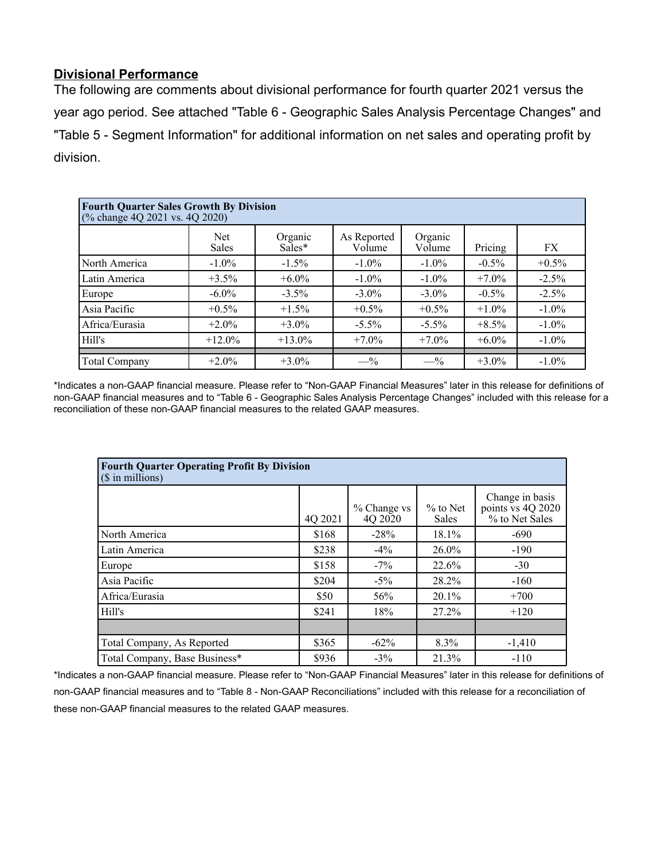# **Divisional Performance**

The following are comments about divisional performance for fourth quarter 2021 versus the year ago period. See attached "Table 6 - Geographic Sales Analysis Percentage Changes" and "Table 5 - Segment Information" for additional information on net sales and operating profit by division.

| <b>Fourth Quarter Sales Growth By Division</b><br>(% change 4Q 2021 vs. 4Q 2020) |                     |                   |                       |                   |          |          |  |  |  |  |
|----------------------------------------------------------------------------------|---------------------|-------------------|-----------------------|-------------------|----------|----------|--|--|--|--|
|                                                                                  | Net<br><b>Sales</b> | Organic<br>Sales* | As Reported<br>Volume | Organic<br>Volume | Pricing  | FX       |  |  |  |  |
| North America                                                                    | $-1.0\%$            | $-1.5\%$          | $-1.0\%$              | $-1.0\%$          | $-0.5\%$ | $+0.5\%$ |  |  |  |  |
| Latin America                                                                    | $+3.5\%$            | $+6.0\%$          | $-1.0\%$              | $-1.0\%$          | $+7.0\%$ | $-2.5%$  |  |  |  |  |
| Europe                                                                           | $-6.0\%$            | $-3.5\%$          | $-3.0\%$              | $-3.0\%$          | $-0.5\%$ | $-2.5%$  |  |  |  |  |
| Asia Pacific                                                                     | $+0.5\%$            | $+1.5\%$          | $+0.5\%$              | $+0.5\%$          | $+1.0\%$ | $-1.0\%$ |  |  |  |  |
| Africa/Eurasia                                                                   | $+2.0\%$            | $+3.0\%$          | $-5.5\%$              | $-5.5\%$          | $+8.5\%$ | $-1.0\%$ |  |  |  |  |
| Hill's                                                                           | $+12.0\%$           | $+13.0\%$         | $+7.0\%$              | $+7.0\%$          | $+6.0\%$ | $-1.0\%$ |  |  |  |  |
| Total Company                                                                    | $+2.0\%$            | $+3.0\%$          | $- \frac{9}{6}$       | $-$ %             | $+3.0\%$ | $-1.0\%$ |  |  |  |  |

\*Indicates a non-GAAP financial measure. Please refer to "Non-GAAP Financial Measures" later in this release for definitions of non-GAAP financial measures and to "Table 6 - Geographic Sales Analysis Percentage Changes" included with this release for a reconciliation of these non-GAAP financial measures to the related GAAP measures.

| <b>Fourth Quarter Operating Profit By Division</b><br>$($$ in millions) |         |                        |                     |                                                        |  |  |  |  |
|-------------------------------------------------------------------------|---------|------------------------|---------------------|--------------------------------------------------------|--|--|--|--|
|                                                                         | 4Q 2021 | % Change vs<br>4Q 2020 | $%$ to Net<br>Sales | Change in basis<br>points vs 4Q 2020<br>% to Net Sales |  |  |  |  |
| North America                                                           | \$168   | $-28%$                 | $18.1\%$            | $-690$                                                 |  |  |  |  |
| Latin America                                                           | \$238   | $-4\%$                 | $26.0\%$            | $-190$                                                 |  |  |  |  |
| Europe                                                                  | \$158   | $-7\%$                 | 22.6%               | $-30$                                                  |  |  |  |  |
| Asia Pacific                                                            | \$204   | $-5\%$                 | 28.2%               | $-160$                                                 |  |  |  |  |
| Africa/Eurasia                                                          | \$50    | 56%                    | $20.1\%$            | $+700$                                                 |  |  |  |  |
| Hill's                                                                  | \$241   | 18%                    | $27.2\%$            | $+120$                                                 |  |  |  |  |
|                                                                         |         |                        |                     |                                                        |  |  |  |  |
| Total Company, As Reported                                              | \$365   | $-62\%$                | 8.3%                | $-1,410$                                               |  |  |  |  |
| Total Company, Base Business*                                           | \$936   | $-3\%$                 | 21.3%               | $-110$                                                 |  |  |  |  |

\*Indicates a non-GAAP financial measure. Please refer to "Non-GAAP Financial Measures" later in this release for definitions of non-GAAP financial measures and to "Table 8 - Non-GAAP Reconciliations" included with this release for a reconciliation of these non-GAAP financial measures to the related GAAP measures.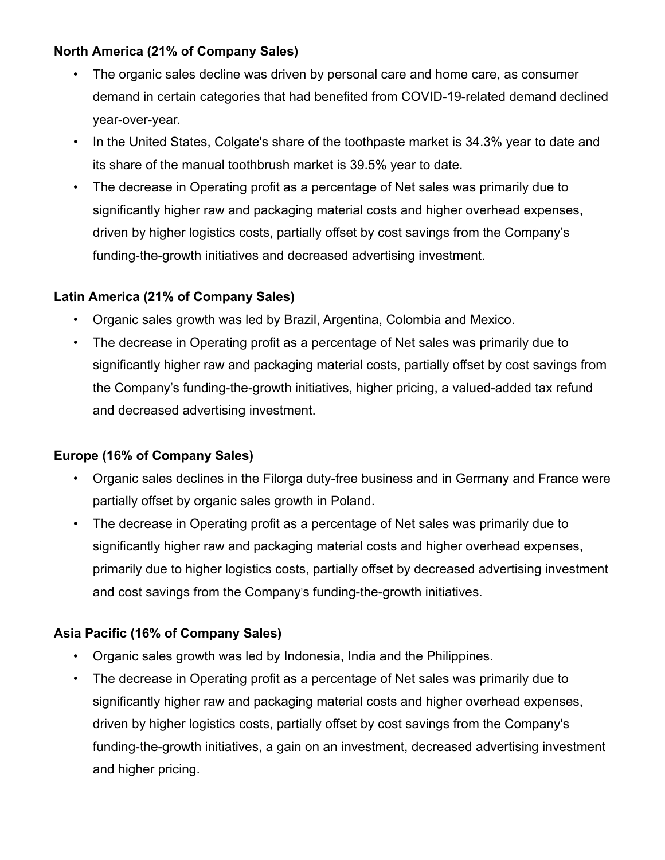# **North America (21% of Company Sales)**

- The organic sales decline was driven by personal care and home care, as consumer demand in certain categories that had benefited from COVID-19-related demand declined year-over-year.
- In the United States, Colgate's share of the toothpaste market is 34.3% year to date and its share of the manual toothbrush market is 39.5% year to date.
- The decrease in Operating profit as a percentage of Net sales was primarily due to significantly higher raw and packaging material costs and higher overhead expenses, driven by higher logistics costs, partially offset by cost savings from the Company's funding-the-growth initiatives and decreased advertising investment.

# **Latin America (21% of Company Sales)**

- Organic sales growth was led by Brazil, Argentina, Colombia and Mexico.
- The decrease in Operating profit as a percentage of Net sales was primarily due to significantly higher raw and packaging material costs, partially offset by cost savings from the Company's funding-the-growth initiatives, higher pricing, a valued-added tax refund and decreased advertising investment.

# **Europe (16% of Company Sales)**

- Organic sales declines in the Filorga duty-free business and in Germany and France were partially offset by organic sales growth in Poland.
- The decrease in Operating profit as a percentage of Net sales was primarily due to significantly higher raw and packaging material costs and higher overhead expenses, primarily due to higher logistics costs, partially offset by decreased advertising investment and cost savings from the Company's funding-the-growth initiatives.

# **Asia Pacific (16% of Company Sales)**

- Organic sales growth was led by Indonesia, India and the Philippines.
- The decrease in Operating profit as a percentage of Net sales was primarily due to significantly higher raw and packaging material costs and higher overhead expenses, driven by higher logistics costs, partially offset by cost savings from the Company's funding-the-growth initiatives, a gain on an investment, decreased advertising investment and higher pricing.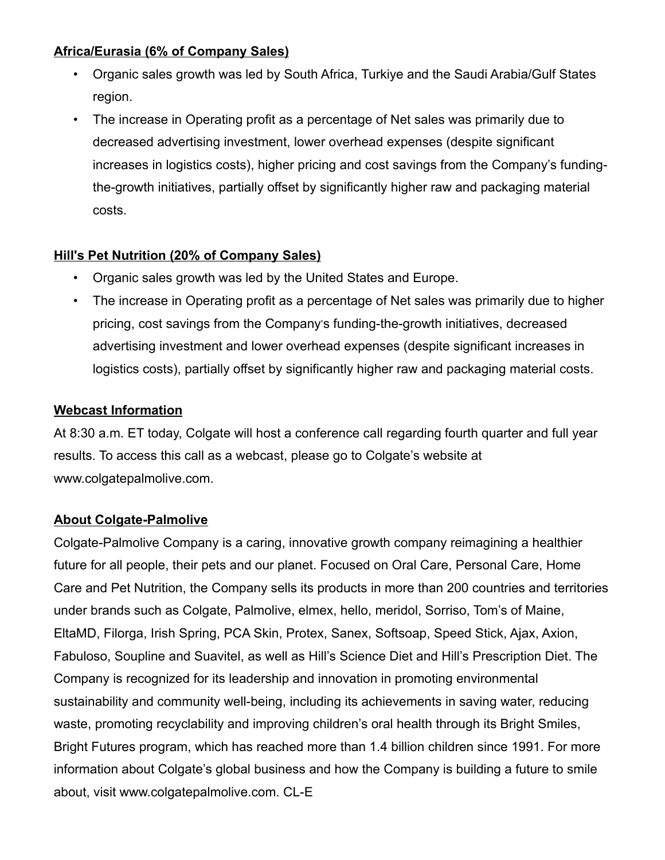# **Africa/Eurasia (6% of Company Sales)**

- Organic sales growth was led by South Africa, Turkiye and the Saudi Arabia/Gulf States region.
- The increase in Operating profit as a percentage of Net sales was primarily due to decreased advertising investment, lower overhead expenses (despite significant increases in logistics costs), higher pricing and cost savings from the Company's fundingthe-growth initiatives, partially offset by significantly higher raw and packaging material costs.

# **Hill's Pet Nutrition (20% of Company Sales)**

- Organic sales growth was led by the United States and Europe.
- The increase in Operating profit as a percentage of Net sales was primarily due to higher pricing, cost savings from the Company's funding-the-growth initiatives, decreased advertising investment and lower overhead expenses (despite significant increases in logistics costs), partially offset by significantly higher raw and packaging material costs.

# **Webcast Information**

At 8:30 a.m. ET today, Colgate will host a conference call regarding fourth quarter and full year results. To access this call as a webcast, please go to Colgate's website at www.colgatepalmolive.com.

# **About Colgate-Palmolive**

Colgate-Palmolive Company is a caring, innovative growth company reimagining a healthier future for all people, their pets and our planet. Focused on Oral Care, Personal Care, Home Care and Pet Nutrition, the Company sells its products in more than 200 countries and territories under brands such as Colgate, Palmolive, elmex, hello, meridol, Sorriso, Tom's of Maine, EltaMD, Filorga, Irish Spring, PCA Skin, Protex, Sanex, Softsoap, Speed Stick, Ajax, Axion, Fabuloso, Soupline and Suavitel, as well as Hill's Science Diet and Hill's Prescription Diet. The Company is recognized for its leadership and innovation in promoting environmental sustainability and community well-being, including its achievements in saving water, reducing waste, promoting recyclability and improving children's oral health through its Bright Smiles, Bright Futures program, which has reached more than 1.4 billion children since 1991. For more information about Colgate's global business and how the Company is building a future to smile about, visit www.colgatepalmolive.com. CL-E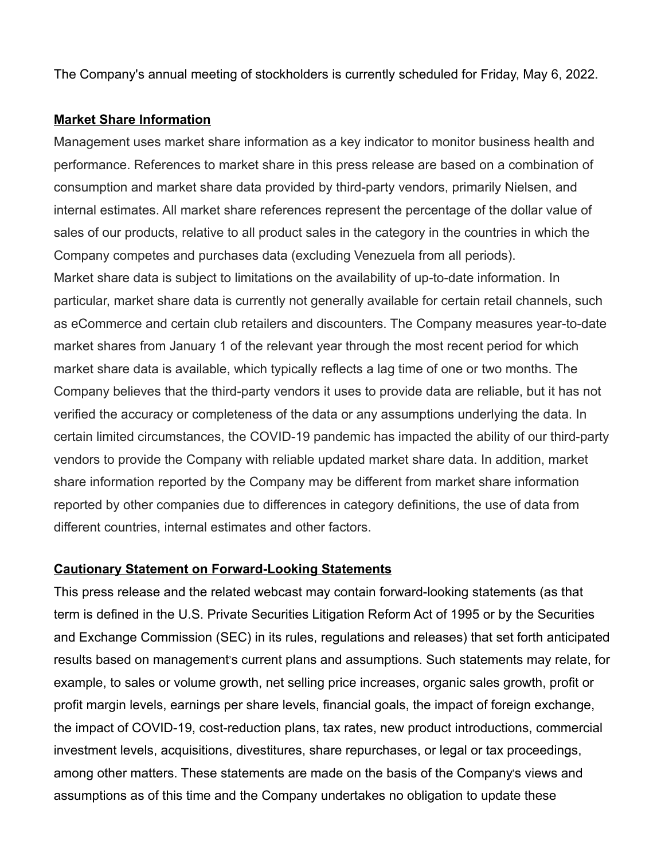The Company's annual meeting of stockholders is currently scheduled for Friday, May 6, 2022.

## **Market Share Information**

Management uses market share information as a key indicator to monitor business health and performance. References to market share in this press release are based on a combination of consumption and market share data provided by third-party vendors, primarily Nielsen, and internal estimates. All market share references represent the percentage of the dollar value of sales of our products, relative to all product sales in the category in the countries in which the Company competes and purchases data (excluding Venezuela from all periods). Market share data is subject to limitations on the availability of up-to-date information. In particular, market share data is currently not generally available for certain retail channels, such as eCommerce and certain club retailers and discounters. The Company measures year-to-date market shares from January 1 of the relevant year through the most recent period for which market share data is available, which typically reflects a lag time of one or two months. The Company believes that the third-party vendors it uses to provide data are reliable, but it has not verified the accuracy or completeness of the data or any assumptions underlying the data. In certain limited circumstances, the COVID-19 pandemic has impacted the ability of our third-party vendors to provide the Company with reliable updated market share data. In addition, market share information reported by the Company may be different from market share information reported by other companies due to differences in category definitions, the use of data from different countries, internal estimates and other factors.

## **Cautionary Statement on Forward-Looking Statements**

This press release and the related webcast may contain forward-looking statements (as that term is defined in the U.S. Private Securities Litigation Reform Act of 1995 or by the Securities and Exchange Commission (SEC) in its rules, regulations and releases) that set forth anticipated results based on management's current plans and assumptions. Such statements may relate, for example, to sales or volume growth, net selling price increases, organic sales growth, profit or profit margin levels, earnings per share levels, financial goals, the impact of foreign exchange, the impact of COVID-19, cost-reduction plans, tax rates, new product introductions, commercial investment levels, acquisitions, divestitures, share repurchases, or legal or tax proceedings, among other matters. These statements are made on the basis of the Company's views and assumptions as of this time and the Company undertakes no obligation to update these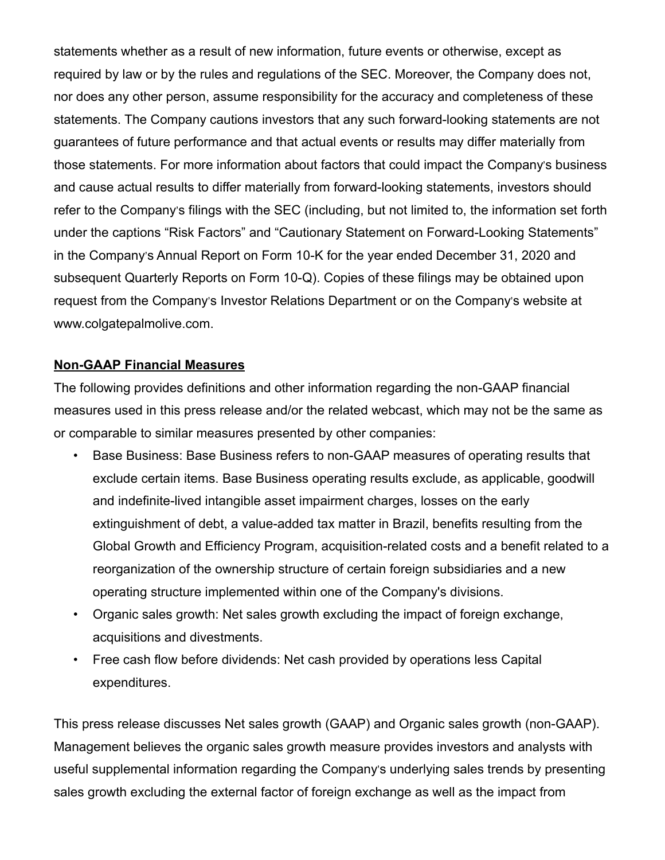statements whether as a result of new information, future events or otherwise, except as required by law or by the rules and regulations of the SEC. Moreover, the Company does not, nor does any other person, assume responsibility for the accuracy and completeness of these statements. The Company cautions investors that any such forward-looking statements are not guarantees of future performance and that actual events or results may differ materially from those statements. For more information about factors that could impact the Company's business and cause actual results to differ materially from forward-looking statements, investors should refer to the Company's filings with the SEC (including, but not limited to, the information set forth under the captions "Risk Factors" and "Cautionary Statement on Forward-Looking Statements" in the Company's Annual Report on Form 10-K for the year ended December 31, 2020 and subsequent Quarterly Reports on Form 10-Q). Copies of these filings may be obtained upon request from the Company's Investor Relations Department or on the Company's website at www.colgatepalmolive.com.

## **Non-GAAP Financial Measures**

The following provides definitions and other information regarding the non-GAAP financial measures used in this press release and/or the related webcast, which may not be the same as or comparable to similar measures presented by other companies:

- Base Business: Base Business refers to non-GAAP measures of operating results that exclude certain items. Base Business operating results exclude, as applicable, goodwill and indefinite-lived intangible asset impairment charges, losses on the early extinguishment of debt, a value-added tax matter in Brazil, benefits resulting from the Global Growth and Efficiency Program, acquisition-related costs and a benefit related to a reorganization of the ownership structure of certain foreign subsidiaries and a new operating structure implemented within one of the Company's divisions.
- Organic sales growth: Net sales growth excluding the impact of foreign exchange, acquisitions and divestments.
- Free cash flow before dividends: Net cash provided by operations less Capital expenditures.

This press release discusses Net sales growth (GAAP) and Organic sales growth (non-GAAP). Management believes the organic sales growth measure provides investors and analysts with useful supplemental information regarding the Company's underlying sales trends by presenting sales growth excluding the external factor of foreign exchange as well as the impact from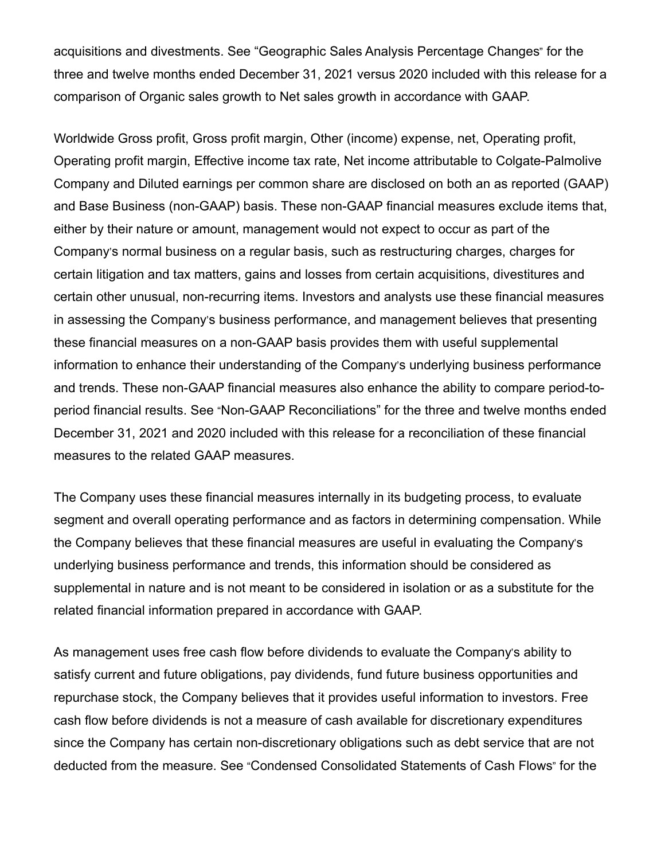acquisitions and divestments. See "Geographic Sales Analysis Percentage Changes" for the three and twelve months ended December 31, 2021 versus 2020 included with this release for a comparison of Organic sales growth to Net sales growth in accordance with GAAP.

Worldwide Gross profit, Gross profit margin, Other (income) expense, net, Operating profit, Operating profit margin, Effective income tax rate, Net income attributable to Colgate-Palmolive Company and Diluted earnings per common share are disclosed on both an as reported (GAAP) and Base Business (non-GAAP) basis. These non-GAAP financial measures exclude items that, either by their nature or amount, management would not expect to occur as part of the Company's normal business on a regular basis, such as restructuring charges, charges for certain litigation and tax matters, gains and losses from certain acquisitions, divestitures and certain other unusual, non-recurring items. Investors and analysts use these financial measures in assessing the Company's business performance, and management believes that presenting these financial measures on a non-GAAP basis provides them with useful supplemental information to enhance their understanding of the Company's underlying business performance and trends. These non-GAAP financial measures also enhance the ability to compare period-toperiod financial results. See "Non-GAAP Reconciliations" for the three and twelve months ended December 31, 2021 and 2020 included with this release for a reconciliation of these financial measures to the related GAAP measures.

The Company uses these financial measures internally in its budgeting process, to evaluate segment and overall operating performance and as factors in determining compensation. While the Company believes that these financial measures are useful in evaluating the Company's underlying business performance and trends, this information should be considered as supplemental in nature and is not meant to be considered in isolation or as a substitute for the related financial information prepared in accordance with GAAP.

As management uses free cash flow before dividends to evaluate the Company's ability to satisfy current and future obligations, pay dividends, fund future business opportunities and repurchase stock, the Company believes that it provides useful information to investors. Free cash flow before dividends is not a measure of cash available for discretionary expenditures since the Company has certain non-discretionary obligations such as debt service that are not deducted from the measure. See "Condensed Consolidated Statements of Cash Flows" for the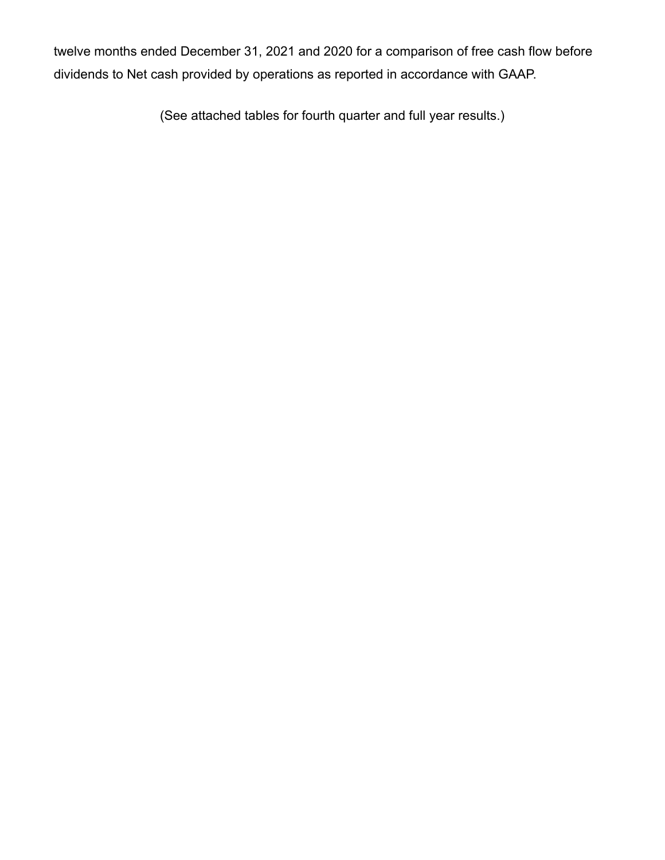twelve months ended December 31, 2021 and 2020 for a comparison of free cash flow before dividends to Net cash provided by operations as reported in accordance with GAAP.

(See attached tables for fourth quarter and full year results.)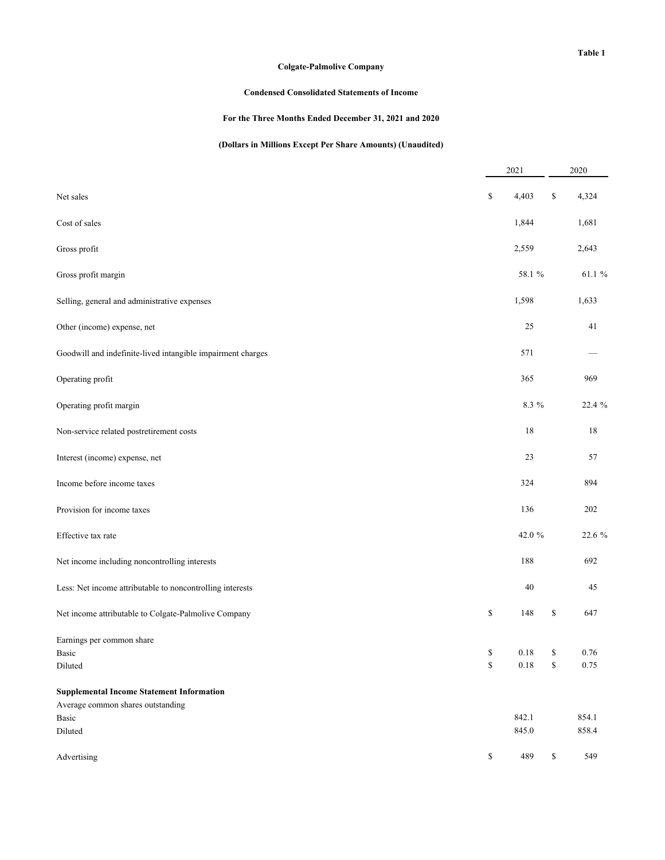## **Condensed Consolidated Statements of Income**

## **For the Three Months Ended December 31, 2021 and 2020**

## **(Dollars in Millions Except Per Share Amounts) (Unaudited)**

|                                                             |              | 2021     | 2020        |
|-------------------------------------------------------------|--------------|----------|-------------|
| Net sales                                                   | \$           | 4,403    | \$<br>4,324 |
| Cost of sales                                               |              | 1,844    | 1,681       |
| Gross profit                                                |              | 2,559    | 2,643       |
| Gross profit margin                                         |              | 58.1 %   | 61.1 %      |
| Selling, general and administrative expenses                |              | 1,598    | 1,633       |
| Other (income) expense, net                                 |              | 25       | 41          |
| Goodwill and indefinite-lived intangible impairment charges |              | 571      |             |
| Operating profit                                            |              | 365      | 969         |
| Operating profit margin                                     |              | 8.3 %    | 22.4 %      |
| Non-service related postretirement costs                    |              | 18       | 18          |
| Interest (income) expense, net                              |              | 23       | 57          |
| Income before income taxes                                  |              | 324      | 894         |
| Provision for income taxes                                  |              | 136      | 202         |
| Effective tax rate                                          |              | 42.0 %   | 22.6 %      |
| Net income including noncontrolling interests               |              | 188      | 692         |
| Less: Net income attributable to noncontrolling interests   |              | 40       | 45          |
| Net income attributable to Colgate-Palmolive Company        | \$           | 148      | \$<br>647   |
| Earnings per common share<br>Basic                          | \$           | $0.18\,$ | \$<br>0.76  |
| Diluted                                                     | $\mathbb{S}$ | 0.18     | \$<br>0.75  |
| <b>Supplemental Income Statement Information</b>            |              |          |             |
| Average common shares outstanding                           |              | 842.1    | 854.1       |
| Basic<br>Diluted                                            |              | 845.0    | 858.4       |
|                                                             |              |          |             |
| Advertising                                                 | \$           | 489      | \$<br>549   |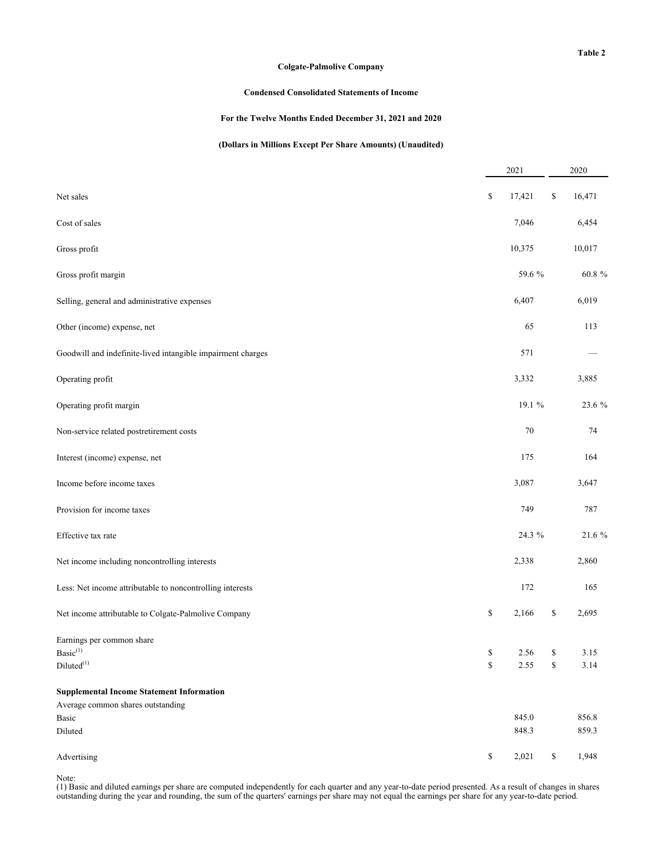#### **Condensed Consolidated Statements of Income**

#### **For the Twelve Months Ended December 31, 2021 and 2020**

### **(Dollars in Millions Except Per Share Amounts) (Unaudited)**

|                                                             |          | 2021   | 2020               |
|-------------------------------------------------------------|----------|--------|--------------------|
| Net sales                                                   | \$       | 17,421 | \$<br>16,471       |
| Cost of sales                                               |          | 7,046  | 6,454              |
| Gross profit                                                |          | 10,375 | 10,017             |
| Gross profit margin                                         |          | 59.6 % | 60.8%              |
| Selling, general and administrative expenses                |          | 6,407  | 6,019              |
| Other (income) expense, net                                 |          | 65     | 113                |
| Goodwill and indefinite-lived intangible impairment charges |          | 571    |                    |
| Operating profit                                            |          | 3,332  | 3,885              |
| Operating profit margin                                     |          | 19.1 % | 23.6 %             |
| Non-service related postretirement costs                    |          | 70     | 74                 |
| Interest (income) expense, net                              |          | 175    | 164                |
| Income before income taxes                                  |          | 3,087  | 3,647              |
| Provision for income taxes                                  |          | 749    | 787                |
| Effective tax rate                                          |          | 24.3 % | 21.6 %             |
| Net income including noncontrolling interests               |          | 2,338  | 2,860              |
| Less: Net income attributable to noncontrolling interests   |          | 172    | 165                |
| Net income attributable to Colgate-Palmolive Company        | \$       | 2,166  | \$<br>2,695        |
| Earnings per common share                                   |          |        |                    |
| $\mathrm{Basic}^{(1)}$<br>$Diluted^{(1)}$                   | S.<br>\$ | 2.55   | \$<br>3.15<br>3.14 |
| <b>Supplemental Income Statement Information</b>            |          |        |                    |
| Average common shares outstanding                           |          |        |                    |
| Basic                                                       |          | 845.0  | 856.8              |
| Diluted                                                     |          | 848.3  | 859.3              |
| Advertising                                                 | \$       | 2,021  | \$<br>1,948        |

Note:

(1) Basic and diluted earnings per share are computed independently for each quarter and any year-to-date period presented. As a result of changes in shares outstanding during the year and rounding, the sum of the quarters' earnings per share may not equal the earnings per share for any year-to-date period.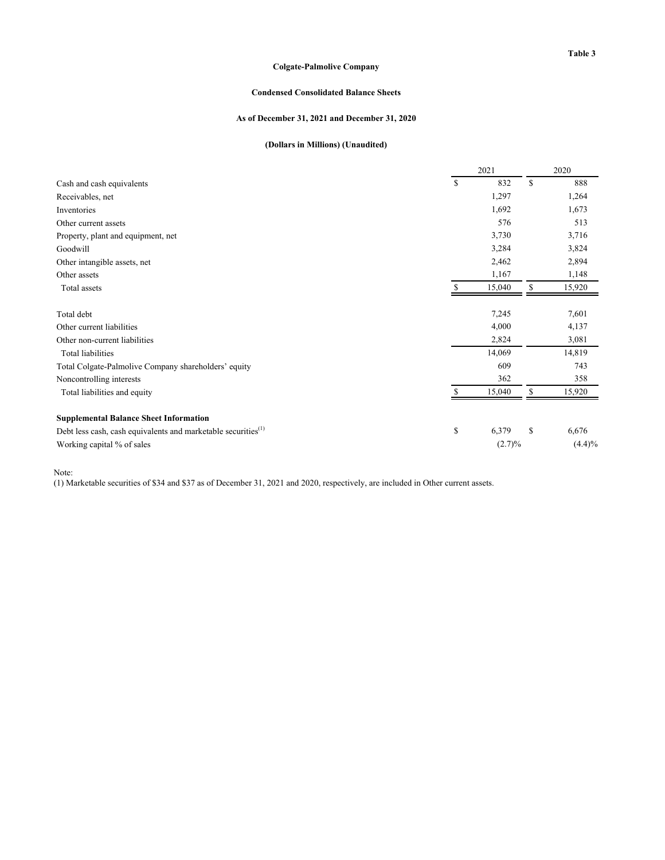### **Table 3**

### **Colgate-Palmolive Company**

#### **Condensed Consolidated Balance Sheets**

### **As of December 31, 2021 and December 31, 2020**

## **(Dollars in Millions) (Unaudited)**

|                                                                           | 2021         |    | 2020   |
|---------------------------------------------------------------------------|--------------|----|--------|
| Cash and cash equivalents                                                 | \$<br>832    | S  | 888    |
| Receivables, net                                                          | 1,297        |    | 1,264  |
| Inventories                                                               | 1,692        |    | 1,673  |
| Other current assets                                                      | 576          |    | 513    |
| Property, plant and equipment, net                                        | 3,730        |    | 3,716  |
| Goodwill                                                                  | 3,284        |    | 3,824  |
| Other intangible assets, net                                              | 2,462        |    | 2,894  |
| Other assets                                                              | 1,167        |    | 1,148  |
| Total assets                                                              | \$<br>15,040 | \$ | 15,920 |
| Total debt                                                                | 7,245        |    | 7,601  |
| Other current liabilities                                                 | 4,000        |    | 4,137  |
| Other non-current liabilities                                             | 2,824        |    | 3,081  |
| <b>Total liabilities</b>                                                  | 14,069       |    | 14,819 |
| Total Colgate-Palmolive Company shareholders' equity                      | 609          |    | 743    |
| Noncontrolling interests                                                  | 362          |    | 358    |
| Total liabilities and equity                                              | 15,040       | \$ | 15,920 |
| <b>Supplemental Balance Sheet Information</b>                             |              |    |        |
| Debt less cash, cash equivalents and marketable securities <sup>(1)</sup> | \$<br>6,379  | \$ | 6,676  |
| Working capital % of sales                                                | (2.7)%       |    | (4.4)% |

Note:

(1) Marketable securities of \$34 and \$37 as of December 31, 2021 and 2020, respectively, are included in Other current assets.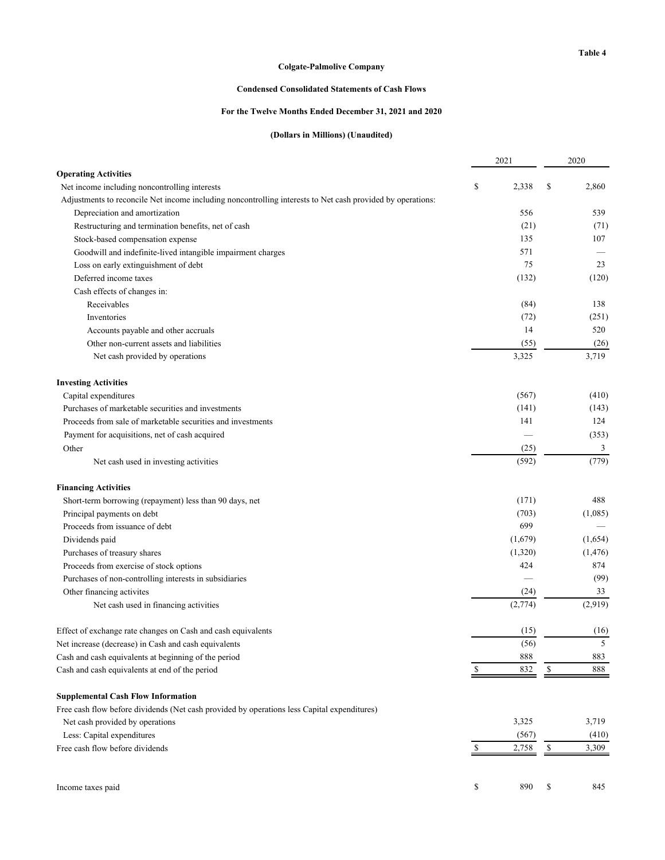## **Condensed Consolidated Statements of Cash Flows**

#### **For the Twelve Months Ended December 31, 2021 and 2020**

### **(Dollars in Millions) (Unaudited)**

|                                                                                                            |    | 2021    |    | 2020     |
|------------------------------------------------------------------------------------------------------------|----|---------|----|----------|
| <b>Operating Activities</b>                                                                                |    |         |    |          |
| Net income including noncontrolling interests                                                              | \$ | 2,338   | \$ | 2,860    |
| Adjustments to reconcile Net income including noncontrolling interests to Net cash provided by operations: |    |         |    |          |
| Depreciation and amortization                                                                              |    | 556     |    | 539      |
| Restructuring and termination benefits, net of cash                                                        |    | (21)    |    | (71)     |
| Stock-based compensation expense                                                                           |    | 135     |    | 107      |
| Goodwill and indefinite-lived intangible impairment charges                                                |    | 571     |    |          |
| Loss on early extinguishment of debt                                                                       |    | 75      |    | 23       |
| Deferred income taxes                                                                                      |    | (132)   |    | (120)    |
| Cash effects of changes in:                                                                                |    |         |    |          |
| Receivables                                                                                                |    | (84)    |    | 138      |
| Inventories                                                                                                |    | (72)    |    | (251)    |
| Accounts payable and other accruals                                                                        |    | 14      |    | 520      |
| Other non-current assets and liabilities                                                                   |    | (55)    |    | (26)     |
| Net cash provided by operations                                                                            |    | 3,325   |    | 3,719    |
| <b>Investing Activities</b>                                                                                |    |         |    |          |
| Capital expenditures                                                                                       |    | (567)   |    | (410)    |
| Purchases of marketable securities and investments                                                         |    | (141)   |    | (143)    |
| Proceeds from sale of marketable securities and investments                                                |    | 141     |    | 124      |
| Payment for acquisitions, net of cash acquired                                                             |    |         |    | (353)    |
| Other                                                                                                      |    | (25)    |    | 3        |
| Net cash used in investing activities                                                                      |    | (592)   |    | (779)    |
| <b>Financing Activities</b>                                                                                |    |         |    |          |
| Short-term borrowing (repayment) less than 90 days, net                                                    |    | (171)   |    | 488      |
| Principal payments on debt                                                                                 |    | (703)   |    | (1,085)  |
| Proceeds from issuance of debt                                                                             |    | 699     |    |          |
| Dividends paid                                                                                             |    | (1,679) |    | (1,654)  |
| Purchases of treasury shares                                                                               |    | (1,320) |    | (1, 476) |
| Proceeds from exercise of stock options                                                                    |    | 424     |    | 874      |
| Purchases of non-controlling interests in subsidiaries                                                     |    |         |    | (99)     |
| Other financing activites                                                                                  |    | (24)    |    | 33       |
| Net cash used in financing activities                                                                      |    | (2,774) |    | (2,919)  |
| Effect of exchange rate changes on Cash and cash equivalents                                               |    | (15)    |    | (16)     |
| Net increase (decrease) in Cash and cash equivalents                                                       |    | (56)    |    | 5        |
| Cash and cash equivalents at beginning of the period                                                       |    | 888     |    | 883      |
| Cash and cash equivalents at end of the period                                                             |    | 832     | S  | 888      |
| <b>Supplemental Cash Flow Information</b>                                                                  |    |         |    |          |
| Free cash flow before dividends (Net cash provided by operations less Capital expenditures)                |    |         |    |          |
| Net cash provided by operations                                                                            |    | 3,325   |    | 3,719    |
| Less: Capital expenditures                                                                                 |    | (567)   |    | (410)    |
| Free cash flow before dividends                                                                            | S  | 2,758   | \$ | 3,309    |
| Income taxes paid                                                                                          | \$ | 890     | \$ | 845      |
|                                                                                                            |    |         |    |          |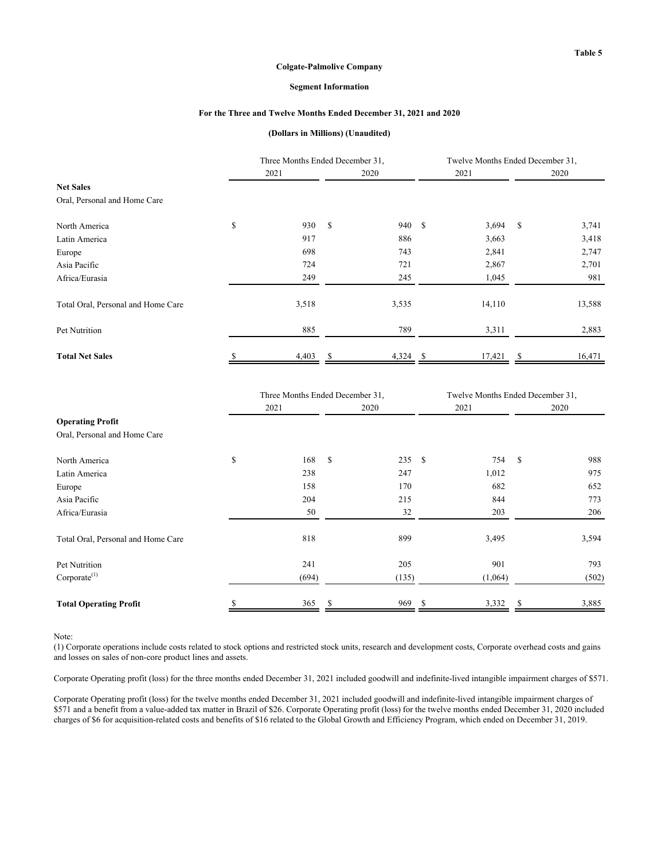#### **Segment Information**

#### **For the Three and Twelve Months Ended December 31, 2021 and 2020**

#### **(Dollars in Millions) (Unaudited)**

|                                    | Three Months Ended December 31, |       |               |        | Twelve Months Ended December 31. |              |        |
|------------------------------------|---------------------------------|-------|---------------|--------|----------------------------------|--------------|--------|
|                                    | 2021                            |       |               | 2020   | 2021                             |              | 2020   |
| <b>Net Sales</b>                   |                                 |       |               |        |                                  |              |        |
| Oral, Personal and Home Care       |                                 |       |               |        |                                  |              |        |
| North America                      | \$                              | 930   | <sup>\$</sup> | 940 \$ | 3,694                            | $\mathbf{s}$ | 3,741  |
| Latin America                      |                                 | 917   |               | 886    | 3,663                            |              | 3,418  |
| Europe                             |                                 | 698   |               | 743    | 2,841                            |              | 2,747  |
| Asia Pacific                       |                                 | 724   |               | 721    | 2,867                            |              | 2,701  |
| Africa/Eurasia                     |                                 | 249   |               | 245    | 1,045                            |              | 981    |
| Total Oral, Personal and Home Care |                                 | 3,518 |               | 3,535  | 14,110                           |              | 13,588 |
| Pet Nutrition                      |                                 | 885   |               | 789    | 3,311                            |              | 2,883  |
| <b>Total Net Sales</b>             |                                 | 4,403 |               | 4,324  | 17,421                           |              | 16,471 |

|                                    | Three Months Ended December 31, |               |       | Twelve Months Ended December 31, |         |    |       |
|------------------------------------|---------------------------------|---------------|-------|----------------------------------|---------|----|-------|
|                                    | 2021                            |               | 2020  |                                  | 2021    |    | 2020  |
| <b>Operating Profit</b>            |                                 |               |       |                                  |         |    |       |
| Oral, Personal and Home Care       |                                 |               |       |                                  |         |    |       |
| North America                      | \$<br>168                       | <sup>\$</sup> | 235S  |                                  | 754     | -S | 988   |
| Latin America                      | 238                             |               | 247   |                                  | 1,012   |    | 975   |
| Europe                             | 158                             |               | 170   |                                  | 682     |    | 652   |
| Asia Pacific                       | 204                             |               | 215   |                                  | 844     |    | 773   |
| Africa/Eurasia                     | 50                              |               | 32    |                                  | 203     |    | 206   |
| Total Oral, Personal and Home Care | 818                             |               | 899   |                                  | 3,495   |    | 3,594 |
| Pet Nutrition                      | 241                             |               | 205   |                                  | 901     |    | 793   |
| Corporate <sup>(1)</sup>           | (694)                           |               | (135) |                                  | (1,064) |    | (502) |
| <b>Total Operating Profit</b>      | 365                             | S             | 969   | -S                               | 3,332   | S  | 3,885 |

Note:

(1) Corporate operations include costs related to stock options and restricted stock units, research and development costs, Corporate overhead costs and gains and losses on sales of non-core product lines and assets.

Corporate Operating profit (loss) for the three months ended December 31, 2021 included goodwill and indefinite-lived intangible impairment charges of \$571.

Corporate Operating profit (loss) for the twelve months ended December 31, 2021 included goodwill and indefinite-lived intangible impairment charges of \$571 and a benefit from a value-added tax matter in Brazil of \$26. Corporate Operating profit (loss) for the twelve months ended December 31, 2020 included charges of \$6 for acquisition-related costs and benefits of \$16 related to the Global Growth and Efficiency Program, which ended on December 31, 2019.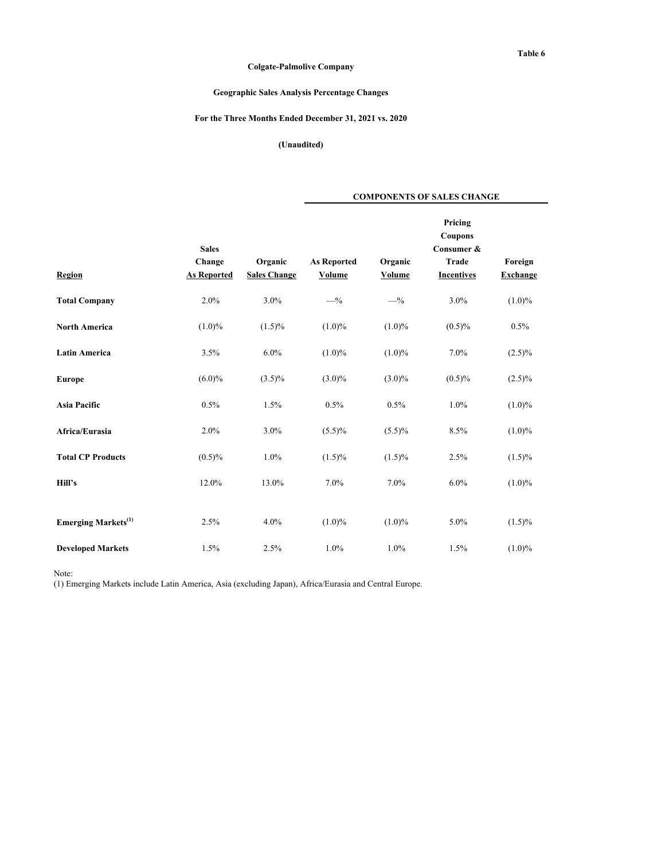**COMPONENTS OF SALES CHANGE**

## **Geographic Sales Analysis Percentage Changes**

### **For the Three Months Ended December 31, 2021 vs. 2020**

**(Unaudited)**

| Region                                 | <b>Sales</b><br>Change<br><b>As Reported</b> | Organic<br><b>Sales Change</b> | <b>As Reported</b><br>Volume | Organic<br>Volume | Pricing<br>Coupons<br>Consumer &<br>Trade<br><b>Incentives</b> | Foreign<br><b>Exchange</b> |
|----------------------------------------|----------------------------------------------|--------------------------------|------------------------------|-------------------|----------------------------------------------------------------|----------------------------|
| <b>Total Company</b>                   | 2.0%                                         | 3.0%                           | $-$ %                        | $-$ %             | 3.0%                                                           | $(1.0)\%$                  |
| <b>North America</b>                   | $(1.0)\%$                                    | $(1.5)\%$                      | $(1.0)\%$                    | $(1.0)\%$         | $(0.5)\%$                                                      | 0.5%                       |
| <b>Latin America</b>                   | 3.5%                                         | 6.0%                           | $(1.0)\%$                    | $(1.0)\%$         | 7.0%                                                           | $(2.5)\%$                  |
| <b>Europe</b>                          | $(6.0)\%$                                    | $(3.5)\%$                      | $(3.0)\%$                    | $(3.0)\%$         | $(0.5)\%$                                                      | $(2.5)\%$                  |
| <b>Asia Pacific</b>                    | 0.5%                                         | 1.5%                           | 0.5%                         | 0.5%              | 1.0%                                                           | $(1.0)\%$                  |
| Africa/Eurasia                         | 2.0%                                         | 3.0%                           | $(5.5)\%$                    | $(5.5)\%$         | 8.5%                                                           | $(1.0)\%$                  |
| <b>Total CP Products</b>               | $(0.5)\%$                                    | 1.0%                           | $(1.5)\%$                    | $(1.5)\%$         | 2.5%                                                           | $(1.5)\%$                  |
| Hill's                                 | 12.0%                                        | 13.0%                          | 7.0%                         | 7.0%              | $6.0\%$                                                        | $(1.0)\%$                  |
|                                        |                                              |                                |                              |                   |                                                                |                            |
| <b>Emerging Markets</b> <sup>(1)</sup> | 2.5%                                         | 4.0%                           | $(1.0)\%$                    | $(1.0)\%$         | 5.0%                                                           | $(1.5)\%$                  |
| <b>Developed Markets</b>               | 1.5%                                         | 2.5%                           | 1.0%                         | 1.0%              | 1.5%                                                           | $(1.0)\%$                  |

Note:

(1) Emerging Markets include Latin America, Asia (excluding Japan), Africa/Eurasia and Central Europe.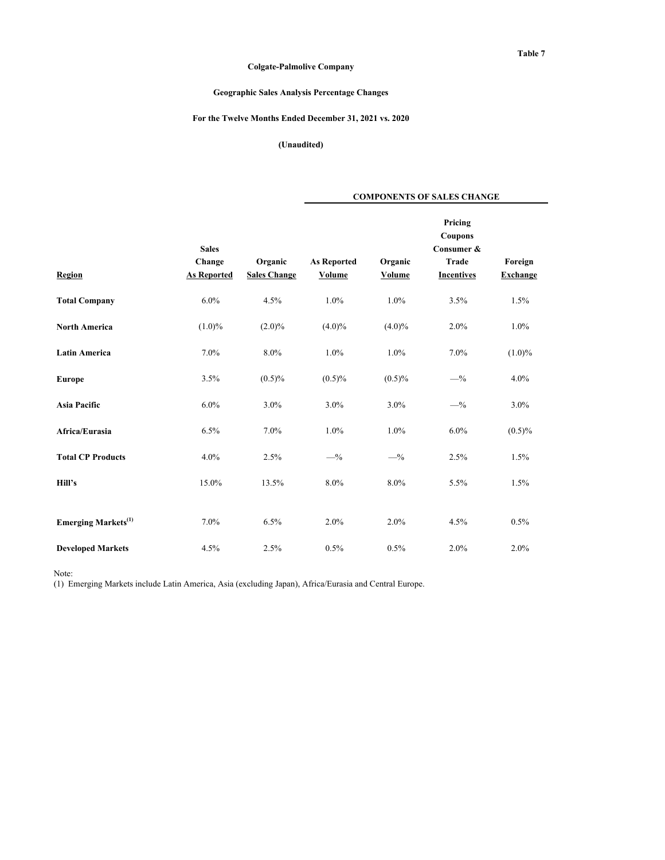**COMPONENTS OF SALES CHANGE**

## **Geographic Sales Analysis Percentage Changes**

## **For the Twelve Months Ended December 31, 2021 vs. 2020**

**(Unaudited)**

| Region                                 | <b>Sales</b><br>Change<br><b>As Reported</b> | Organic<br><b>Sales Change</b> | <b>As Reported</b><br>Volume | Organic<br>Volume | Pricing<br>Coupons<br>Consumer &<br><b>Trade</b><br><b>Incentives</b> | Foreign<br><b>Exchange</b> |
|----------------------------------------|----------------------------------------------|--------------------------------|------------------------------|-------------------|-----------------------------------------------------------------------|----------------------------|
| <b>Total Company</b>                   | 6.0%                                         | 4.5%                           | 1.0%                         | 1.0%              | 3.5%                                                                  | 1.5%                       |
| <b>North America</b>                   | $(1.0)\%$                                    | $(2.0)\%$                      | $(4.0)\%$                    | $(4.0)\%$         | $2.0\%$                                                               | 1.0%                       |
| <b>Latin America</b>                   | 7.0%                                         | 8.0%                           | 1.0%                         | 1.0%              | 7.0%                                                                  | $(1.0)\%$                  |
| <b>Europe</b>                          | 3.5%                                         | $(0.5)\%$                      | $(0.5)\%$                    | $(0.5)\%$         | $-$ %                                                                 | 4.0%                       |
| <b>Asia Pacific</b>                    | 6.0%                                         | 3.0%                           | 3.0%                         | 3.0%              | $-$ %                                                                 | 3.0%                       |
| Africa/Eurasia                         | 6.5%                                         | 7.0%                           | 1.0%                         | 1.0%              | 6.0%                                                                  | $(0.5)\%$                  |
| <b>Total CP Products</b>               | 4.0%                                         | 2.5%                           | $-$ %                        | $-$ %             | 2.5%                                                                  | 1.5%                       |
| Hill's                                 | 15.0%                                        | 13.5%                          | 8.0%                         | 8.0%              | 5.5%                                                                  | 1.5%                       |
|                                        |                                              |                                |                              |                   |                                                                       |                            |
| <b>Emerging Markets</b> <sup>(1)</sup> | 7.0%                                         | 6.5%                           | 2.0%                         | 2.0%              | 4.5%                                                                  | 0.5%                       |
| <b>Developed Markets</b>               | 4.5%                                         | 2.5%                           | 0.5%                         | 0.5%              | 2.0%                                                                  | 2.0%                       |

Note:

(1) Emerging Markets include Latin America, Asia (excluding Japan), Africa/Eurasia and Central Europe.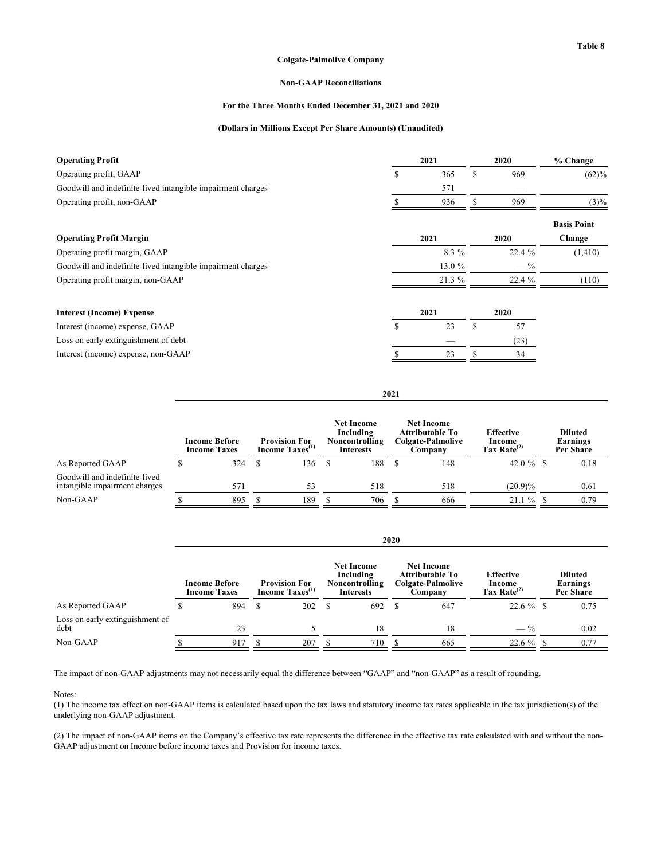#### **Non-GAAP Reconciliations**

#### **For the Three Months Ended December 31, 2021 and 2020**

#### **(Dollars in Millions Except Per Share Amounts) (Unaudited)**

| <b>Operating Profit</b>                                     | 2021      | 2020      | % Change           |
|-------------------------------------------------------------|-----------|-----------|--------------------|
| Operating profit, GAAP                                      | \$<br>365 | \$<br>969 | (62)%              |
| Goodwill and indefinite-lived intangible impairment charges | 571       |           |                    |
| Operating profit, non-GAAP                                  | 936       | 969       | $(3)\%$            |
|                                                             |           |           | <b>Basis Point</b> |
| <b>Operating Profit Margin</b>                              | 2021      | 2020      | Change             |
| Operating profit margin, GAAP                               | 8.3 %     | 22.4 %    | (1, 410)           |
| Goodwill and indefinite-lived intangible impairment charges | 13.0 $%$  | $-$ %     |                    |
| Operating profit margin, non-GAAP                           | 21.3%     | 22.4 %    | (110)              |
| <b>Interest (Income) Expense</b>                            | 2021      | 2020      |                    |
| Interest (income) expense, GAAP                             | \$<br>23  | \$<br>57  |                    |
| Loss on early extinguishment of debt                        |           | (23)      |                    |
| Interest (income) expense, non-GAAP                         | 23        | 34        |                    |
|                                                             |           |           |                    |

|                                                                | <b>Income Before</b><br><b>Income Taxes</b> |     |  | <b>Provision For</b><br>Income Taxes <sup>(1)</sup> |  | <b>Net Income</b><br>Including<br>Noncontrolling<br><b>Interests</b> |  | <b>Net Income</b><br><b>Attributable To</b><br>Colgate-Palmolive<br>Company | <b>Effective</b><br>Income<br>Tax Rate $^{(2)}$ | <b>Diluted</b><br>Earnings<br>Per Share |      |
|----------------------------------------------------------------|---------------------------------------------|-----|--|-----------------------------------------------------|--|----------------------------------------------------------------------|--|-----------------------------------------------------------------------------|-------------------------------------------------|-----------------------------------------|------|
| As Reported GAAP                                               |                                             | 324 |  | 136                                                 |  | 188                                                                  |  | 148                                                                         |                                                 |                                         | 0.18 |
| Goodwill and indefinite-lived<br>intangible impairment charges |                                             | 571 |  | 53                                                  |  | 518                                                                  |  | 518                                                                         | (20.9)%                                         |                                         | 0.61 |
| Non-GAAP                                                       |                                             | 895 |  | 189                                                 |  | 706                                                                  |  | 666                                                                         | 21.1%                                           |                                         | 0.79 |

**2021**

|                                         |                                             | 2020 |                                                     |       |                                                                      |     |                                                                                    |     |                                                 |                                         |      |  |  |
|-----------------------------------------|---------------------------------------------|------|-----------------------------------------------------|-------|----------------------------------------------------------------------|-----|------------------------------------------------------------------------------------|-----|-------------------------------------------------|-----------------------------------------|------|--|--|
|                                         | <b>Income Before</b><br><b>Income Taxes</b> |      | <b>Provision For</b><br>Income Taxes <sup>(1)</sup> |       | <b>Net Income</b><br>Including<br>Noncontrolling<br><b>Interests</b> |     | <b>Net Income</b><br><b>Attributable To</b><br><b>Colgate-Palmolive</b><br>Company |     | <b>Effective</b><br>Income<br>Tax Rate $^{(2)}$ | <b>Diluted</b><br>Earnings<br>Per Share |      |  |  |
| As Reported GAAP                        |                                             | 894  | S                                                   | 202 S |                                                                      | 692 | S                                                                                  | 647 | $22.6 \%$ \$                                    |                                         | 0.75 |  |  |
| Loss on early extinguishment of<br>debt |                                             | 23   |                                                     |       |                                                                      | 18  |                                                                                    | 18  | $-$ %                                           |                                         | 0.02 |  |  |
| Non-GAAP                                |                                             | 917  |                                                     | 207   |                                                                      | 710 |                                                                                    | 665 | 22.6 %                                          |                                         | 0.77 |  |  |

The impact of non-GAAP adjustments may not necessarily equal the difference between "GAAP" and "non-GAAP" as a result of rounding.

#### Notes:

(1) The income tax effect on non-GAAP items is calculated based upon the tax laws and statutory income tax rates applicable in the tax jurisdiction(s) of the underlying non-GAAP adjustment.

(2) The impact of non-GAAP items on the Company's effective tax rate represents the difference in the effective tax rate calculated with and without the non-GAAP adjustment on Income before income taxes and Provision for income taxes.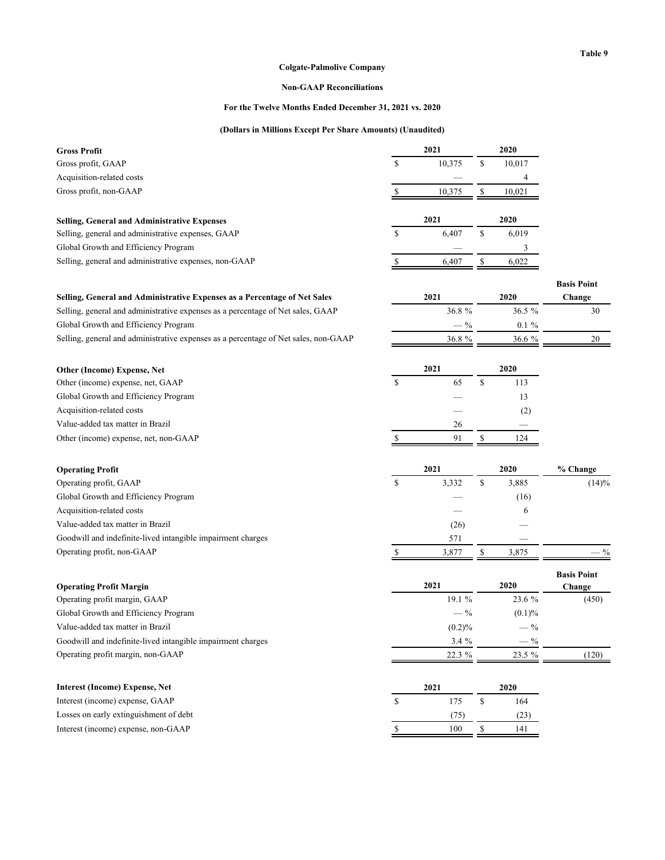## **Table 9**

## **Colgate-Palmolive Company**

## **Non-GAAP Reconciliations**

## **For the Twelve Months Ended December 31, 2021 vs. 2020**

## **(Dollars in Millions Except Per Share Amounts) (Unaudited)**

| <b>Gross Profit</b>                                                                 | 2021         | 2020          |                    |
|-------------------------------------------------------------------------------------|--------------|---------------|--------------------|
| Gross profit, GAAP                                                                  | \$<br>10,375 | \$<br>10,017  |                    |
| Acquisition-related costs                                                           |              | 4             |                    |
| Gross profit, non-GAAP                                                              | \$<br>10,375 | \$<br>10,021  |                    |
|                                                                                     |              |               |                    |
| <b>Selling, General and Administrative Expenses</b>                                 | 2021         | 2020          |                    |
| Selling, general and administrative expenses, GAAP                                  | \$<br>6,407  | \$<br>6,019   |                    |
| Global Growth and Efficiency Program                                                |              | 3             |                    |
| Selling, general and administrative expenses, non-GAAP                              | \$<br>6,407  | \$<br>6,022   |                    |
|                                                                                     |              |               | <b>Basis Point</b> |
| Selling, General and Administrative Expenses as a Percentage of Net Sales           | 2021         | 2020          | Change             |
| Selling, general and administrative expenses as a percentage of Net sales, GAAP     | 36.8%        | 36.5 %        | 30                 |
| Global Growth and Efficiency Program                                                | $-$ %        | $0.1 \%$      |                    |
| Selling, general and administrative expenses as a percentage of Net sales, non-GAAP | 36.8%        | 36.6 %        | 20                 |
|                                                                                     |              |               |                    |
| Other (Income) Expense, Net                                                         | 2021         | 2020          |                    |
| Other (income) expense, net, GAAP                                                   | \$<br>65     | \$<br>113     |                    |
| Global Growth and Efficiency Program                                                |              | 13            |                    |
| Acquisition-related costs                                                           |              | (2)           |                    |
| Value-added tax matter in Brazil                                                    | 26           |               |                    |
| Other (income) expense, net, non-GAAP                                               | \$<br>91     | \$<br>124     |                    |
|                                                                                     |              |               |                    |
| <b>Operating Profit</b>                                                             | 2021         | 2020          | % Change           |
| Operating profit, GAAP                                                              | \$<br>3,332  | \$<br>3,885   | (14)%              |
| Global Growth and Efficiency Program                                                |              | (16)          |                    |
| Acquisition-related costs                                                           |              | 6             |                    |
| Value-added tax matter in Brazil                                                    | (26)         |               |                    |
| Goodwill and indefinite-lived intangible impairment charges                         | 571          |               |                    |
| Operating profit, non-GAAP                                                          | \$<br>3,877  | 3,875<br>\$   | $\frac{0}{0}$      |
|                                                                                     |              |               | <b>Basis Point</b> |
| <b>Operating Profit Margin</b>                                                      | 2021         | 2020          | Change             |
| Operating profit margin, GAAP                                                       | 19.1 %       | 23.6 %        | (450)              |
| Global Growth and Efficiency Program                                                | $-$ %        | (0.1)%        |                    |
| Value-added tax matter in Brazil                                                    | (0.2)%       | $\frac{0}{0}$ |                    |
| Goodwill and indefinite-lived intangible impairment charges                         | 3.4 %        | $-$ %         |                    |
| Operating profit margin, non-GAAP                                                   | 22.3 %       | 23.5 %        | (120)              |
| <b>Interest (Income) Expense, Net</b>                                               | 2021         | 2020          |                    |
| Interest (income) expense, GAAP                                                     | \$<br>175    | \$<br>164     |                    |
| Losses on early extinguishment of debt                                              | (75)         | (23)          |                    |
| Interest (income) expense, non-GAAP                                                 | \$<br>100    | \$<br>141     |                    |
|                                                                                     |              |               |                    |